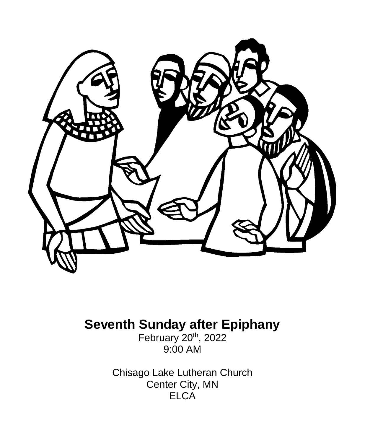

# **Seventh Sunday after Epiphany**

February 20<sup>th</sup>, 2022 9:00 AM

Chisago Lake Lutheran Church Center City, MN **ELCA**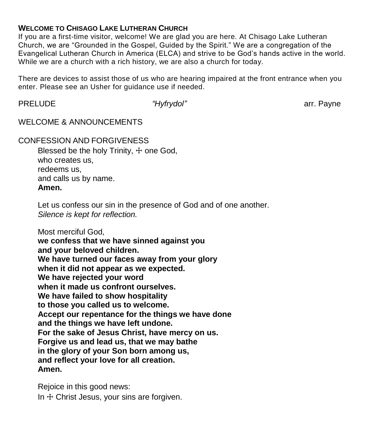### **WELCOME TO CHISAGO LAKE LUTHERAN CHURCH**

If you are a first-time visitor, welcome! We are glad you are here. At Chisago Lake Lutheran Church, we are "Grounded in the Gospel, Guided by the Spirit." We are a congregation of the Evangelical Lutheran Church in America (ELCA) and strive to be God's hands active in the world. While we are a church with a rich history, we are also a church for today.

There are devices to assist those of us who are hearing impaired at the front entrance when you enter. Please see an Usher for guidance use if needed.

PRELUDE **1999 The** *"Hyfrydol"* arr. Payne and the settlement of the *"Hyfrydol"* arr. Payne

WELCOME & ANNOUNCEMENTS

CONFESSION AND FORGIVENESS

Blessed be the holy Trinity,  $+$  one God, who creates us, redeems us, and calls us by name. **Amen.**

Let us confess our sin in the presence of God and of one another. *Silence is kept for reflection.*

Most merciful God,

**we confess that we have sinned against you and your beloved children. We have turned our faces away from your glory when it did not appear as we expected. We have rejected your word when it made us confront ourselves. We have failed to show hospitality to those you called us to welcome. Accept our repentance for the things we have done and the things we have left undone. For the sake of Jesus Christ, have mercy on us. Forgive us and lead us, that we may bathe in the glory of your Son born among us, and reflect your love for all creation. Amen.**

Rejoice in this good news: In  $+$  Christ Jesus, your sins are forgiven.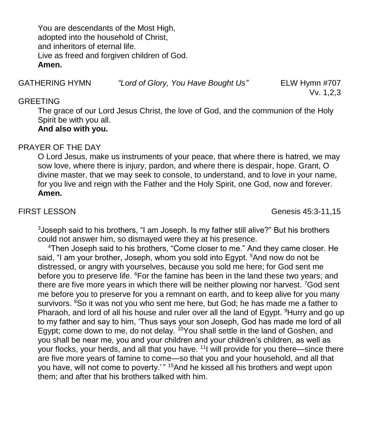You are descendants of the Most High, adopted into the household of Christ, and inheritors of eternal life. Live as freed and forgiven children of God. **Amen.**

GATHERING HYMN *"Lord of Glory, You Have Bought Us"* ELW Hymn #707

Vv. 1,2,3

### GREETING

The grace of our Lord Jesus Christ, the love of God, and the communion of the Holy Spirit be with you all.

# **And also with you.**

# PRAYER OF THE DAY

O Lord Jesus, make us instruments of your peace, that where there is hatred, we may sow love, where there is injury, pardon, and where there is despair, hope. Grant, O divine master, that we may seek to console, to understand, and to love in your name, for you live and reign with the Father and the Holy Spirit, one God, now and forever. **Amen.**

FIRST LESSON Genesis 45:3-11,15

<sup>3</sup> Joseph said to his brothers, "I am Joseph. Is my father still alive?" But his brothers could not answer him, so dismayed were they at his presence.

<sup>4</sup>Then Joseph said to his brothers, "Come closer to me." And they came closer. He said, "I am your brother, Joseph, whom you sold into Egypt. <sup>5</sup>And now do not be distressed, or angry with yourselves, because you sold me here; for God sent me before you to preserve life. <sup>6</sup>For the famine has been in the land these two years; and there are five more years in which there will be neither plowing nor harvest. <sup>7</sup>God sent me before you to preserve for you a remnant on earth, and to keep alive for you many survivors. <sup>8</sup>So it was not you who sent me here, but God; he has made me a father to Pharaoh, and lord of all his house and ruler over all the land of Egypt. <sup>9</sup>Hurry and go up to my father and say to him, 'Thus says your son Joseph, God has made me lord of all Egypt; come down to me, do not delay. <sup>10</sup>You shall settle in the land of Goshen, and you shall be near me, you and your children and your children's children, as well as your flocks, your herds, and all that you have. <sup>11</sup> will provide for you there—since there are five more years of famine to come—so that you and your household, and all that you have, will not come to poverty.'" <sup>15</sup>And he kissed all his brothers and wept upon them; and after that his brothers talked with him.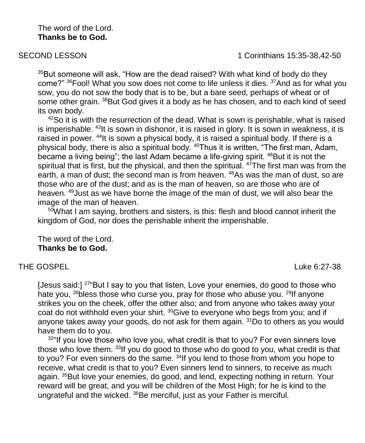#### The word of the Lord. **Thanks be to God.**

SECOND LESSON **1 Corinthians 15:35-38,42-50** 

<sup>35</sup>But someone will ask, "How are the dead raised? With what kind of body do they come?" <sup>36</sup>Fool! What you sow does not come to life unless it dies. <sup>37</sup>And as for what you sow, you do not sow the body that is to be, but a bare seed, perhaps of wheat or of some other grain. <sup>38</sup>But God gives it a body as he has chosen, and to each kind of seed its own body.

 $42$ So it is with the resurrection of the dead. What is sown is perishable, what is raised is imperishable. <sup>43</sup>It is sown in dishonor, it is raised in glory. It is sown in weakness, it is raised in power. <sup>44</sup>It is sown a physical body, it is raised a spiritual body. If there is a physical body, there is also a spiritual body. <sup>45</sup>Thus it is written, "The first man, Adam, became a living being"; the last Adam became a life-giving spirit. <sup>46</sup>But it is not the spiritual that is first, but the physical, and then the spiritual. <sup>47</sup>The first man was from the earth, a man of dust; the second man is from heaven. <sup>48</sup>As was the man of dust. so are those who are of the dust; and as is the man of heaven, so are those who are of heaven. <sup>49</sup>Just as we have borne the image of the man of dust, we will also bear the image of the man of heaven.

<sup>50</sup>What I am saying, brothers and sisters, is this: flesh and blood cannot inherit the kingdom of God, nor does the perishable inherit the imperishable.

The word of the Lord. **Thanks be to God.**

### THE GOSPEI

[Jesus said:]  $27^{\circ}$ But I say to you that listen, Love your enemies, do good to those who hate you, <sup>28</sup>bless those who curse you, pray for those who abuse you. <sup>29</sup>If anyone strikes you on the cheek, offer the other also; and from anyone who takes away your coat do not withhold even your shirt. <sup>30</sup>Give to everyone who begs from you; and if anyone takes away your goods, do not ask for them again.  $31$ Do to others as you would have them do to you.

 $32^{\circ}$  If you love those who love you, what credit is that to you? For even sinners love those who love them. <sup>33</sup>If you do good to those who do good to you, what credit is that to you? For even sinners do the same. <sup>34</sup>If you lend to those from whom you hope to receive, what credit is that to you? Even sinners lend to sinners, to receive as much again. <sup>35</sup>But love your enemies, do good, and lend, expecting nothing in return. Your reward will be great, and you will be children of the Most High; for he is kind to the ungrateful and the wicked. <sup>36</sup>Be merciful, just as your Father is merciful.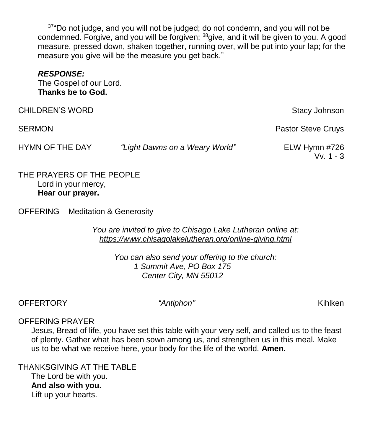$37^{\circ}$ Do not judge, and you will not be judged; do not condemn, and you will not be condemned. Forgive, and you will be forgiven; <sup>38</sup>give, and it will be given to you. A good measure, pressed down, shaken together, running over, will be put into your lap; for the measure you give will be the measure you get back."

#### *RESPONSE:*

The Gospel of our Lord. **Thanks be to God.**

| <b>CHILDREN'S WORD</b> |                                | Stacy Johnson                |
|------------------------|--------------------------------|------------------------------|
| <b>SERMON</b>          |                                | <b>Pastor Steve Cruys</b>    |
| HYMN OF THE DAY        | "Light Dawns on a Weary World" | ELW Hymn #726<br>$Vv. 1 - 3$ |

THE PRAYERS OF THE PEOPLE Lord in your mercy, **Hear our prayer.**

OFFERING – Meditation & Generosity

*You are invited to give to Chisago Lake Lutheran online at: <https://www.chisagolakelutheran.org/online-giving.html>*

> *You can also send your offering to the church: 1 Summit Ave, PO Box 175 Center City, MN 55012*

# OFFERTORY *"Antiphon"* Kihlken

### OFFERING PRAYER

Jesus, Bread of life, you have set this table with your very self, and called us to the feast of plenty. Gather what has been sown among us, and strengthen us in this meal. Make us to be what we receive here, your body for the life of the world. **Amen.**

THANKSGIVING AT THE TABLE The Lord be with you. **And also with you.** Lift up your hearts.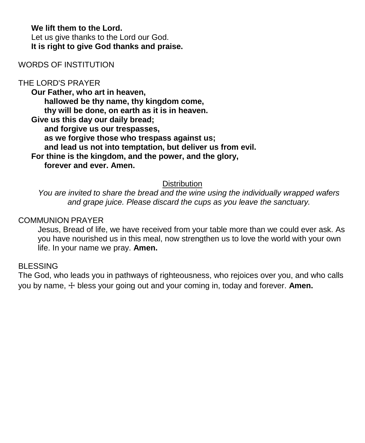#### **We lift them to the Lord.** Let us give thanks to the Lord our God. **It is right to give God thanks and praise.**

### WORDS OF INSTITUTION

# THE LORD'S PRAYER

**Our Father, who art in heaven, hallowed be thy name, thy kingdom come, thy will be done, on earth as it is in heaven. Give us this day our daily bread; and forgive us our trespasses, as we forgive those who trespass against us; and lead us not into temptation, but deliver us from evil. For thine is the kingdom, and the power, and the glory, forever and ever. Amen.**

### **Distribution**

*You are invited to share the bread and the wine using the individually wrapped wafers and grape juice. Please discard the cups as you leave the sanctuary.*

#### COMMUNION PRAYER

Jesus, Bread of life, we have received from your table more than we could ever ask. As you have nourished us in this meal, now strengthen us to love the world with your own life. In your name we pray. **Amen.**

### **BLESSING**

The God, who leads you in pathways of righteousness, who rejoices over you, and who calls you by name, ☩ bless your going out and your coming in, today and forever. **Amen.**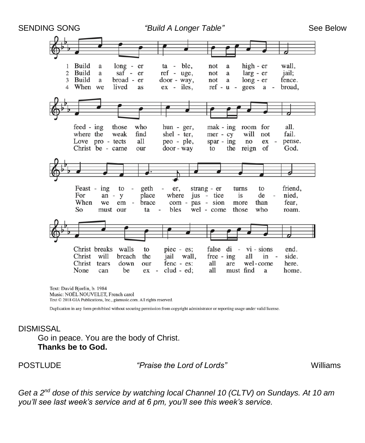

Text: David Bjorlin, b. 1984 Music: NOËL NOUVELET, French carol Text © 2018 GIA Publications, Inc., giamusic.com. All rights reserved.

Duplication in any form prohibited without securing permission from copyright administrator or reporting usage under valid license.

# **DISMISSAL**

Go in peace. You are the body of Christ. **Thanks be to God.**

POSTLUDE *"Praise the Lord of Lords"* Williams

*Get a 2nd dose of this service by watching local Channel 10 (CLTV) on Sundays. At 10 am you'll see last week's service and at 6 pm, you'll see this week's service.*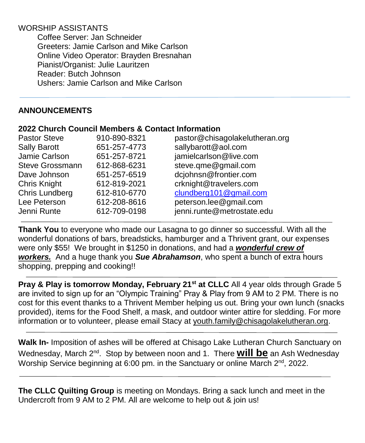# WORSHIP ASSISTANTS

Coffee Server: Jan Schneider Greeters: Jamie Carlson and Mike Carlson Online Video Operator: Brayden Bresnahan Pianist/Organist: Julie Lauritzen Reader: Butch Johnson Ushers: Jamie Carlson and Mike Carlson

# **ANNOUNCEMENTS**

### **2022 Church Council Members & Contact Information**

| <b>Pastor Steve</b> | 910-890-8321 | pastor@chisagolakelutheran.org |
|---------------------|--------------|--------------------------------|
| <b>Sally Barott</b> | 651-257-4773 | sallybarott@aol.com            |
| Jamie Carlson       | 651-257-8721 | jamielcarlson@live.com         |
| Steve Grossmann     | 612-868-6231 | steve.qme@gmail.com            |
| Dave Johnson        | 651-257-6519 | dcjohnsn@frontier.com          |
| <b>Chris Knight</b> | 612-819-2021 | crknight@travelers.com         |
| Chris Lundberg      | 612-810-6770 | clundberg101@gmail.com         |
| Lee Peterson        | 612-208-8616 | peterson.lee@gmail.com         |
| Jenni Runte         | 612-709-0198 | jenni.runte@metrostate.edu     |

**Thank You** to everyone who made our Lasagna to go dinner so successful. With all the wonderful donations of bars, breadsticks, hamburger and a Thrivent grant, our expenses were only \$55! We brought in \$1250 in donations, and had a *wonderful crew of workers.* And a huge thank you *Sue Abrahamson*, who spent a bunch of extra hours shopping, prepping and cooking!!

**Pray & Play is tomorrow Monday, February 21st at CLLC** All 4 year olds through Grade 5 are invited to sign up for an "Olympic Training" Pray & Play from 9 AM to 2 PM. There is no cost for this event thanks to a Thrivent Member helping us out. Bring your own lunch (snacks provided), items for the Food Shelf, a mask, and outdoor winter attire for sledding. For more information or to volunteer, please email Stacy at youth.family@chisagolakelutheran.org.

**Walk In-** Imposition of ashes will be offered at Chisago Lake Lutheran Church Sanctuary on Wednesday, March 2<sup>nd</sup>. Stop by between noon and 1. There **will be** an Ash Wednesday Worship Service beginning at 6:00 pm. in the Sanctuary or online March  $2^{nd}$ , 2022.

**The CLLC Quilting Group** is meeting on Mondays. Bring a sack lunch and meet in the Undercroft from 9 AM to 2 PM. All are welcome to help out & join us!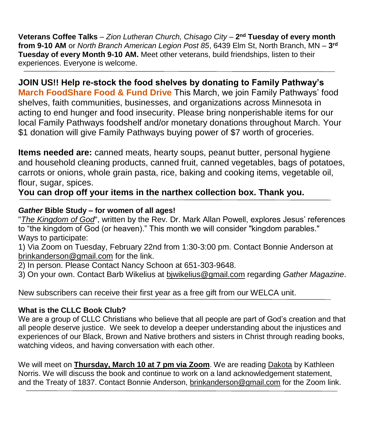**Veterans Coffee Talks** – *Zion Lutheran Church, Chisago City* – **2 nd Tuesday of every month from 9-10 AM** or *North Branch American Legion Post 85*, 6439 Elm St, North Branch, MN – **3 rd Tuesday of every Month 9-10 AM.** Meet other veterans, build friendships, listen to their experiences. Everyone is welcome.

**JOIN US!! Help re-stock the food shelves by donating to Family Pathway's March FoodShare Food & Fund Drive** This March, we join Family Pathways' food shelves, faith communities, businesses, and organizations across Minnesota in acting to end hunger and food insecurity. Please bring nonperishable items for our local Family Pathways foodshelf and/or monetary donations throughout March. Your \$1 donation will give Family Pathways buying power of \$7 worth of groceries.

**Items needed are:** canned meats, hearty soups, peanut butter, personal hygiene and household cleaning products, canned fruit, canned vegetables, bags of potatoes, carrots or onions, whole grain pasta, rice, baking and cooking items, vegetable oil, flour, sugar, spices.

**You can drop off your items in the narthex collection box. Thank you.**

# *Gather* **Bible Study – for women of all ages!**

"*The Kingdom of God*", written by the Rev. Dr. Mark Allan Powell, explores Jesus' references to "the kingdom of God (or heaven)." This month we will consider "kingdom parables." Ways to participate:

1) Via Zoom on Tuesday, February 22nd from 1:30-3:00 pm. Contact Bonnie Anderson at brinkanderson@gmail.com for the link.

2) In person. Please Contact Nancy Schoon at 651-303-9648.

3) On your own. Contact Barb Wikelius at bjwikelius@gmail.com regarding *Gather Magazine*.

New subscribers can receive their first year as a free gift from our WELCA unit.

# **What is the CLLC Book Club?**

We are a group of CLLC Christians who believe that all people are part of God's creation and that all people deserve justice. We seek to develop a deeper understanding about the injustices and experiences of our Black, Brown and Native brothers and sisters in Christ through reading books, watching videos, and having conversation with each other.

We will meet on **Thursday, March 10 at 7 pm via Zoom**. We are reading Dakota by Kathleen Norris. We will discuss the book and continue to work on a land acknowledgement statement, and the Treaty of 1837. Contact Bonnie Anderson, [brinkanderson@gmail.com](mailto:brinkanderson@gmail.com) for the Zoom link.